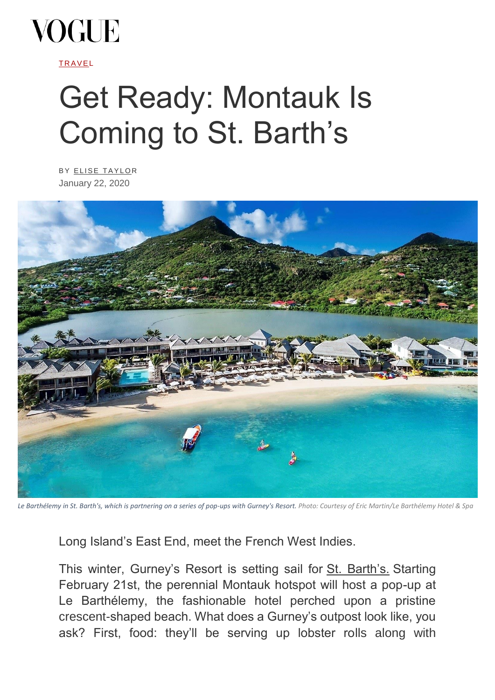

**TRAVEL** 

## Get Ready: Montauk Is Coming to St. Barth's

BY ELISE TAYLOR January 22, 2020



*Le Barthélemy in St. Barth's, which is partnering on a series of pop-ups with Gurney's Resort. Photo: Courtesy of Eric Martin/Le Barthélemy Hotel & Spa*

Long Island's East End, meet the French West Indies.

This winter, Gurney's Resort is setting sail for [St. Barth's.](https://www.vogue.com/article/st-barths-is-back-here-is-where-to-go) Starting February 21st, the perennial Montauk hotspot will host a pop-up at Le Barthélemy, the fashionable hotel perched upon a pristine crescent-shaped beach. What does a Gurney's outpost look like, you ask? First, food: they'll be serving up lobster rolls along with